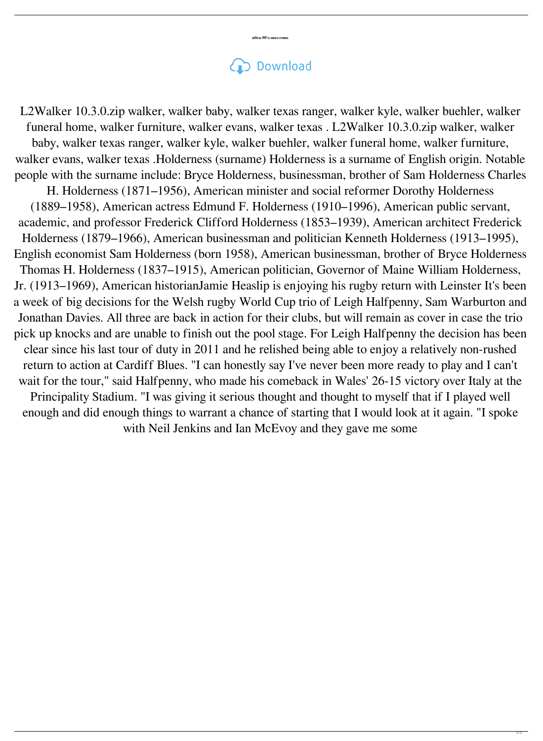## Download

academic, and professor Frederick Clifford Holderness (1853–1939), American architect Frederick Holderness (1879–1966), American businessman and politician Kenneth Holderness (1913–1995), English economist Sam Holderness (born 1958), American businessman, brother of Bryce Holderness Thomas H. Holderness (1837–1915), American politician, Governor of Maine William Holderness, Jr. (1913–1969), American historianJamie Heaslip is enjoying his rugby return with Leinster It's been a week of big decisions for the Welsh rugby World Cup trio of Leigh Halfpenny, Sam Warburton and Jonathan Davies. All three are back in action for their clubs, but will remain as cover in case the trio pick up knocks and are unable to finish out the pool stage. For Leigh Halfpenny the decision has been clear since his last tour of duty in 2011 and he relished being able to enjoy a relatively non-rushed return to action at Cardiff Blues. "I can honestly say I've never been more ready to play and I can't wait for the tour," said Halfpenny, who made his comeback in Wales' 26-15 victory over Italy at the Principality Stadium. "I was giving it serious thought and thought to myself that if I played well enough and did enough things to warrant a chance of starting that I would look at it again. "I spoke with Neil Jenkins and Ian McEvoy and they gave me some

L2Walker 10.3.0.zip walker, walker baby, walker texas ranger, walker kyle, walker buehler, walker funeral home, walker furniture, walker evans, walker texas . L2Walker 10.3.0.zip walker, walker baby, walker texas ranger, walker kyle, walker buehler, walker funeral home, walker furniture, walker evans, walker texas .Holderness (surname) Holderness is a surname of English origin. Notable people with the surname include: Bryce Holderness, businessman, brother of Sam Holderness Charles H. Holderness (1871–1956), American minister and social reformer Dorothy Holderness (1889–1958), American actress Edmund F. Holderness (1910–1996), American public servant,